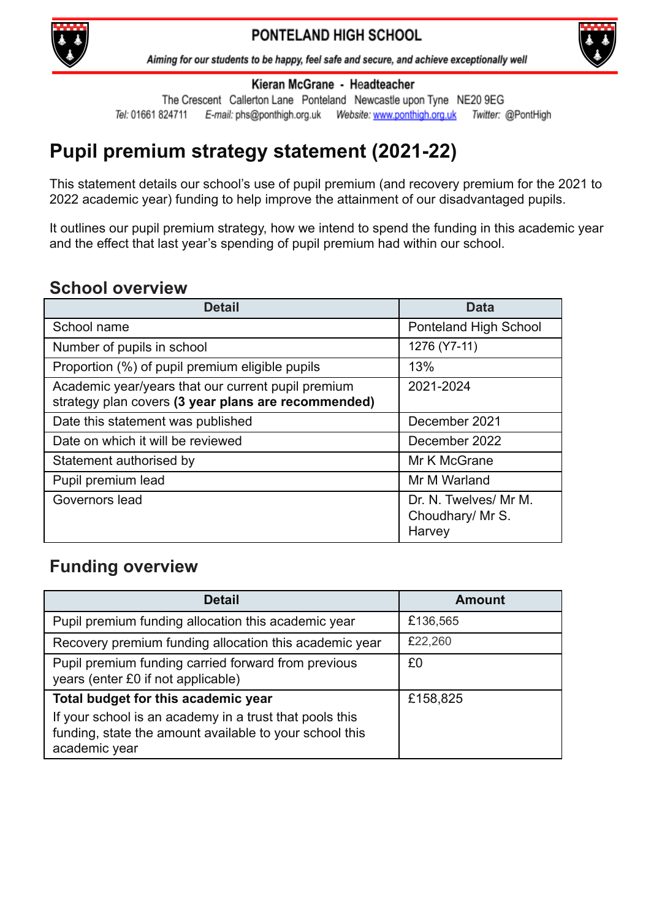

#### Aiming for our students to be happy, feel safe and secure, and achieve exceptionally well



Kieran McGrane - Headteacher

The Crescent Callerton Lane Ponteland Newcastle upon Tyne NE20 9EG Tel: 01661 824711 Twitter: @PontHigh

# **Pupil premium strategy statement (2021-22)**

This statement details our school's use of pupil premium (and recovery premium for the 2021 to 2022 academic year) funding to help improve the attainment of our disadvantaged pupils.

It outlines our pupil premium strategy, how we intend to spend the funding in this academic year and the effect that last year's spending of pupil premium had within our school.

## **School overview**

| <b>Detail</b>                                                                                             | <b>Data</b>                                         |
|-----------------------------------------------------------------------------------------------------------|-----------------------------------------------------|
| School name                                                                                               | Ponteland High School                               |
| Number of pupils in school                                                                                | 1276 (Y7-11)                                        |
| Proportion (%) of pupil premium eligible pupils                                                           | 13%                                                 |
| Academic year/years that our current pupil premium<br>strategy plan covers (3 year plans are recommended) | 2021-2024                                           |
| Date this statement was published                                                                         | December 2021                                       |
| Date on which it will be reviewed                                                                         | December 2022                                       |
| Statement authorised by                                                                                   | Mr K McGrane                                        |
| Pupil premium lead                                                                                        | Mr M Warland                                        |
| Governors lead                                                                                            | Dr. N. Twelves/ Mr M.<br>Choudhary/ Mr S.<br>Harvey |

## **Funding overview**

| <b>Detail</b>                                                                                                                       | <b>Amount</b> |
|-------------------------------------------------------------------------------------------------------------------------------------|---------------|
| Pupil premium funding allocation this academic year                                                                                 | £136,565      |
| Recovery premium funding allocation this academic year                                                                              | £22,260       |
| Pupil premium funding carried forward from previous<br>years (enter £0 if not applicable)                                           | £0            |
| Total budget for this academic year                                                                                                 | £158,825      |
| If your school is an academy in a trust that pools this<br>funding, state the amount available to your school this<br>academic year |               |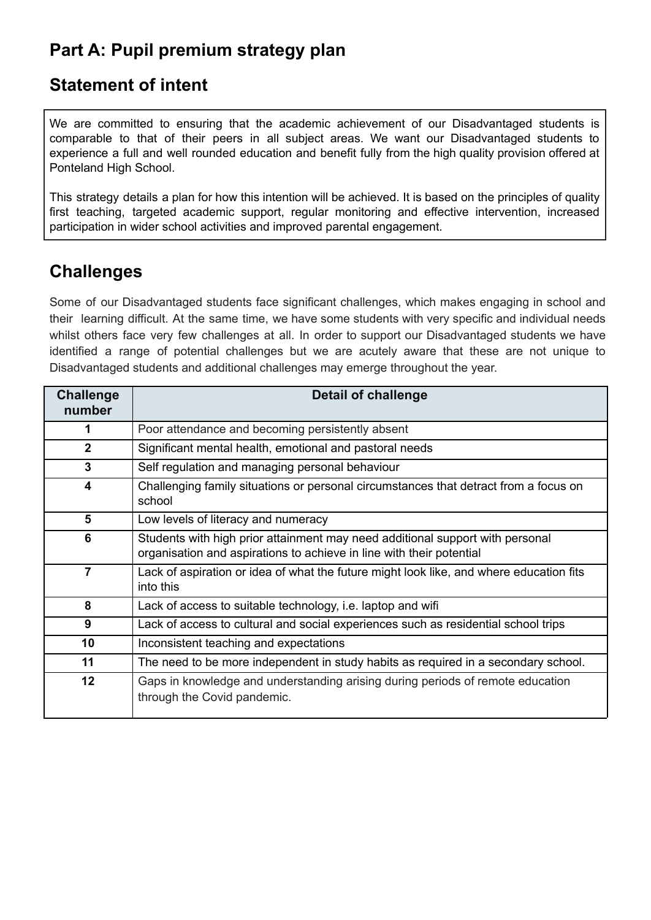# **Part A: Pupil premium strategy plan**

## **Statement of intent**

We are committed to ensuring that the academic achievement of our Disadvantaged students is comparable to that of their peers in all subject areas. We want our Disadvantaged students to experience a full and well rounded education and benefit fully from the high quality provision offered at Ponteland High School.

This strategy details a plan for how this intention will be achieved. It is based on the principles of quality first teaching, targeted academic support, regular monitoring and effective intervention, increased participation in wider school activities and improved parental engagement.

# **Challenges**

Some of our Disadvantaged students face significant challenges, which makes engaging in school and their learning difficult. At the same time, we have some students with very specific and individual needs whilst others face very few challenges at all. In order to support our Disadvantaged students we have identified a range of potential challenges but we are acutely aware that these are not unique to Disadvantaged students and additional challenges may emerge throughout the year.

| <b>Challenge</b><br>number | <b>Detail of challenge</b>                                                                                                                            |
|----------------------------|-------------------------------------------------------------------------------------------------------------------------------------------------------|
|                            | Poor attendance and becoming persistently absent                                                                                                      |
| $\mathbf{2}$               | Significant mental health, emotional and pastoral needs                                                                                               |
| $\mathbf{3}$               | Self regulation and managing personal behaviour                                                                                                       |
| $\overline{\mathbf{4}}$    | Challenging family situations or personal circumstances that detract from a focus on<br>school                                                        |
| 5                          | Low levels of literacy and numeracy                                                                                                                   |
| 6                          | Students with high prior attainment may need additional support with personal<br>organisation and aspirations to achieve in line with their potential |
| $\overline{7}$             | Lack of aspiration or idea of what the future might look like, and where education fits<br>into this                                                  |
| 8                          | Lack of access to suitable technology, i.e. laptop and wifi                                                                                           |
| 9                          | Lack of access to cultural and social experiences such as residential school trips                                                                    |
| 10                         | Inconsistent teaching and expectations                                                                                                                |
| 11                         | The need to be more independent in study habits as required in a secondary school.                                                                    |
| 12                         | Gaps in knowledge and understanding arising during periods of remote education<br>through the Covid pandemic.                                         |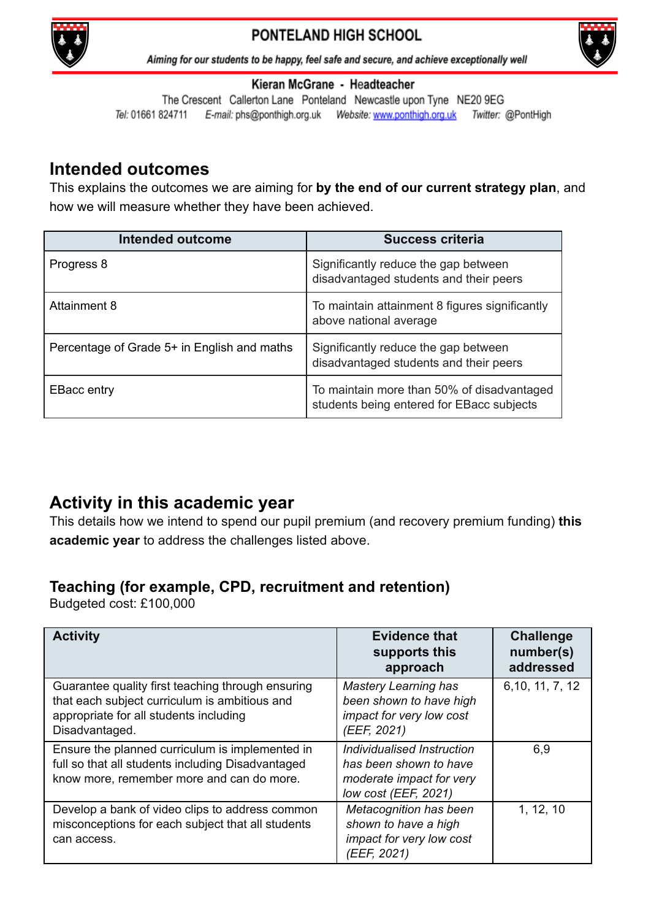



Aiming for our students to be happy, feel safe and secure, and achieve exceptionally well

#### Kieran McGrane - Headteacher

The Crescent Callerton Lane Ponteland Newcastle upon Tyne NE20 9EG Tel: 01661 824711 E-mail: phs@ponthigh.org.uk Website: www.ponthigh.org.uk Twitter: @PontHigh

## **Intended outcomes**

This explains the outcomes we are aiming for **by the end of our current strategy plan**, and how we will measure whether they have been achieved.

| <b>Intended outcome</b>                     | <b>Success criteria</b>                                                                 |
|---------------------------------------------|-----------------------------------------------------------------------------------------|
| Progress 8                                  | Significantly reduce the gap between<br>disadvantaged students and their peers          |
| Attainment 8                                | To maintain attainment 8 figures significantly<br>above national average                |
| Percentage of Grade 5+ in English and maths | Significantly reduce the gap between<br>disadvantaged students and their peers          |
| <b>EBacc entry</b>                          | To maintain more than 50% of disadvantaged<br>students being entered for EBacc subjects |

## **Activity in this academic year**

This details how we intend to spend our pupil premium (and recovery premium funding) **this academic year** to address the challenges listed above.

## **Teaching (for example, CPD, recruitment and retention)**

Budgeted cost: £100,000

| <b>Activity</b>                                                                                                                                                | <b>Evidence that</b><br>supports this<br>approach                                                        | <b>Challenge</b><br>number(s)<br>addressed |
|----------------------------------------------------------------------------------------------------------------------------------------------------------------|----------------------------------------------------------------------------------------------------------|--------------------------------------------|
| Guarantee quality first teaching through ensuring<br>that each subject curriculum is ambitious and<br>appropriate for all students including<br>Disadvantaged. | <b>Mastery Learning has</b><br>been shown to have high<br>impact for very low cost<br>(EEF, 2021)        | 6, 10, 11, 7, 12                           |
| Ensure the planned curriculum is implemented in<br>full so that all students including Disadvantaged<br>know more, remember more and can do more.              | Individualised Instruction<br>has been shown to have<br>moderate impact for very<br>low cost (EEF, 2021) | 6,9                                        |
| Develop a bank of video clips to address common<br>misconceptions for each subject that all students<br>can access.                                            | Metacognition has been<br>shown to have a high<br>impact for very low cost<br>(EEF, 2021)                | 1, 12, 10                                  |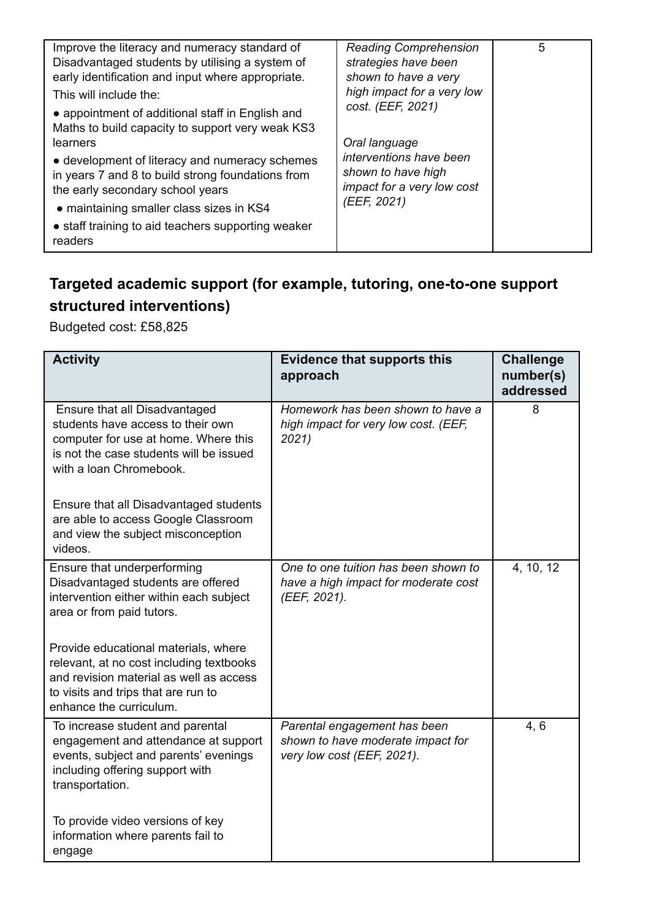| Improve the literacy and numeracy standard of<br>Disadvantaged students by utilising a system of<br>early identification and input where appropriate.<br>This will include the:<br>• appointment of additional staff in English and<br>Maths to build capacity to support very weak KS3 | <b>Reading Comprehension</b><br>strategies have been<br>shown to have a very<br>high impact for a very low<br>cost. (EEF, 2021) | 5 |
|-----------------------------------------------------------------------------------------------------------------------------------------------------------------------------------------------------------------------------------------------------------------------------------------|---------------------------------------------------------------------------------------------------------------------------------|---|
| learners                                                                                                                                                                                                                                                                                | Oral language                                                                                                                   |   |
| • development of literacy and numeracy schemes<br>in years 7 and 8 to build strong foundations from<br>the early secondary school years                                                                                                                                                 | interventions have been<br>shown to have high<br>impact for a very low cost                                                     |   |
| • maintaining smaller class sizes in KS4                                                                                                                                                                                                                                                | (EEF, 2021)                                                                                                                     |   |
| • staff training to aid teachers supporting weaker<br>readers                                                                                                                                                                                                                           |                                                                                                                                 |   |

# **Targeted academic support (for example, tutoring, one-to-one support structured interventions)**

Budgeted cost: £58,825

| <b>Activity</b>                                                                                                                                                                               | <b>Evidence that supports this</b><br>approach                                                  | <b>Challenge</b><br>number(s)<br>addressed |
|-----------------------------------------------------------------------------------------------------------------------------------------------------------------------------------------------|-------------------------------------------------------------------------------------------------|--------------------------------------------|
| Ensure that all Disadvantaged<br>students have access to their own<br>computer for use at home. Where this<br>is not the case students will be issued<br>with a loan Chromebook.              | Homework has been shown to have a<br>high impact for very low cost. (EEF,<br>2021)              | 8                                          |
| Ensure that all Disadvantaged students<br>are able to access Google Classroom<br>and view the subject misconception<br>videos.                                                                |                                                                                                 |                                            |
| Ensure that underperforming<br>Disadvantaged students are offered<br>intervention either within each subject<br>area or from paid tutors.                                                     | One to one tuition has been shown to<br>have a high impact for moderate cost<br>(EEF, 2021).    | 4, 10, 12                                  |
| Provide educational materials, where<br>relevant, at no cost including textbooks<br>and revision material as well as access<br>to visits and trips that are run to<br>enhance the curriculum. |                                                                                                 |                                            |
| To increase student and parental<br>engagement and attendance at support<br>events, subject and parents' evenings<br>including offering support with<br>transportation.                       | Parental engagement has been<br>shown to have moderate impact for<br>very low cost (EEF, 2021). | 4, 6                                       |
| To provide video versions of key<br>information where parents fail to<br>engage                                                                                                               |                                                                                                 |                                            |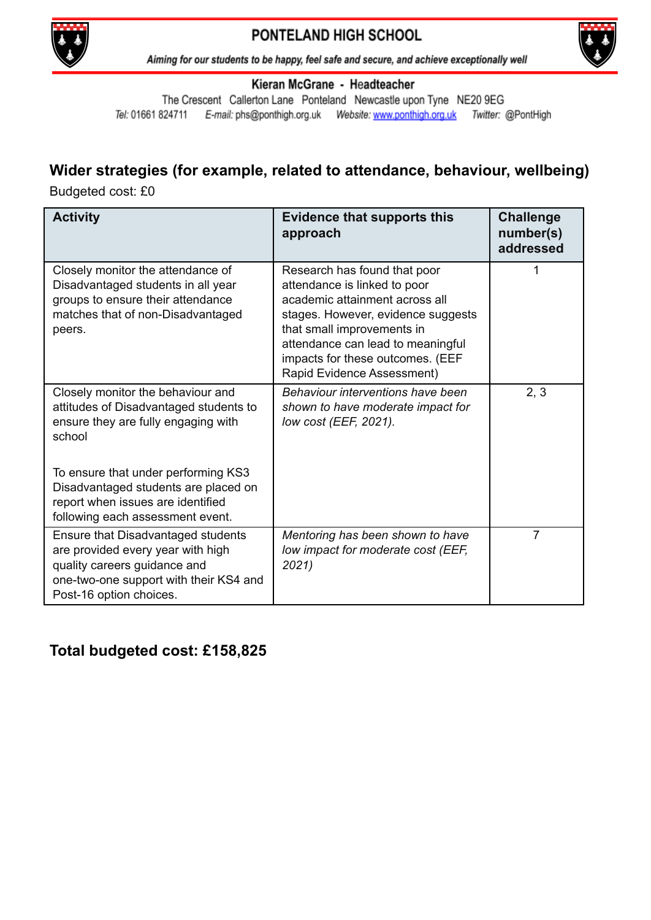



Aiming for our students to be happy, feel safe and secure, and achieve exceptionally well

#### Kieran McGrane - Headteacher

The Crescent Callerton Lane Ponteland Newcastle upon Tyne NE20 9EG Tel: 01661 824711 E-mail: phs@ponthigh.org.uk Website: www.ponthigh.org.uk Twitter: @PontHigh

### **Wider strategies (for example, related to attendance, behaviour, wellbeing)**

Budgeted cost: £0

| <b>Activity</b>                                                                                                                                                              | <b>Evidence that supports this</b><br>approach                                                                                                                                                                                                                            | <b>Challenge</b><br>number(s)<br>addressed |
|------------------------------------------------------------------------------------------------------------------------------------------------------------------------------|---------------------------------------------------------------------------------------------------------------------------------------------------------------------------------------------------------------------------------------------------------------------------|--------------------------------------------|
| Closely monitor the attendance of<br>Disadvantaged students in all year<br>groups to ensure their attendance<br>matches that of non-Disadvantaged<br>peers.                  | Research has found that poor<br>attendance is linked to poor<br>academic attainment across all<br>stages. However, evidence suggests<br>that small improvements in<br>attendance can lead to meaningful<br>impacts for these outcomes. (EEF<br>Rapid Evidence Assessment) |                                            |
| Closely monitor the behaviour and<br>attitudes of Disadvantaged students to<br>ensure they are fully engaging with<br>school                                                 | Behaviour interventions have been<br>shown to have moderate impact for<br>low cost (EEF, 2021).                                                                                                                                                                           | 2, 3                                       |
| To ensure that under performing KS3<br>Disadvantaged students are placed on<br>report when issues are identified<br>following each assessment event.                         |                                                                                                                                                                                                                                                                           |                                            |
| Ensure that Disadvantaged students<br>are provided every year with high<br>quality careers guidance and<br>one-two-one support with their KS4 and<br>Post-16 option choices. | Mentoring has been shown to have<br>low impact for moderate cost (EEF,<br>2021)                                                                                                                                                                                           | 7                                          |

### **Total budgeted cost: £158,825**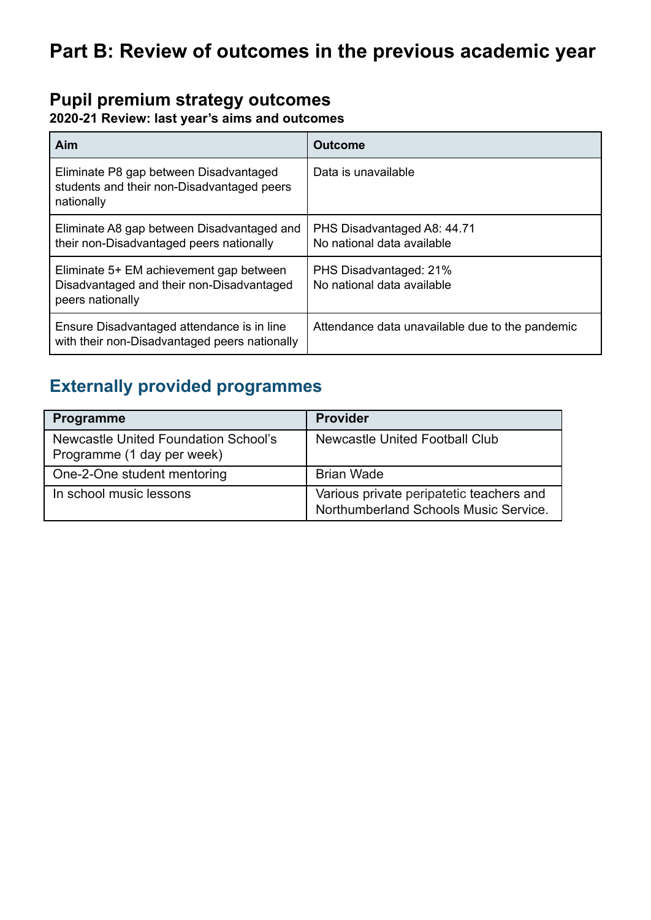# **Pupil premium strategy outcomes**

#### **2020-21 Review: last year's aims and outcomes**

| Aim                                                                                                      | <b>Outcome</b>                                            |
|----------------------------------------------------------------------------------------------------------|-----------------------------------------------------------|
| Eliminate P8 gap between Disadvantaged<br>students and their non-Disadvantaged peers<br>nationally       | Data is unavailable                                       |
| Eliminate A8 gap between Disadvantaged and<br>their non-Disadvantaged peers nationally                   | PHS Disadvantaged A8: 44.71<br>No national data available |
| Eliminate 5+ EM achievement gap between<br>Disadvantaged and their non-Disadvantaged<br>peers nationally | PHS Disadvantaged: 21%<br>No national data available      |
| Ensure Disadvantaged attendance is in line<br>with their non-Disadvantaged peers nationally              | Attendance data unavailable due to the pandemic           |

# **Externally provided programmes**

| <b>Programme</b>                                                   | <b>Provider</b>                                                                   |
|--------------------------------------------------------------------|-----------------------------------------------------------------------------------|
| Newcastle United Foundation School's<br>Programme (1 day per week) | <b>Newcastle United Football Club</b>                                             |
| One-2-One student mentoring                                        | <b>Brian Wade</b>                                                                 |
| In school music lessons                                            | Various private peripatetic teachers and<br>Northumberland Schools Music Service. |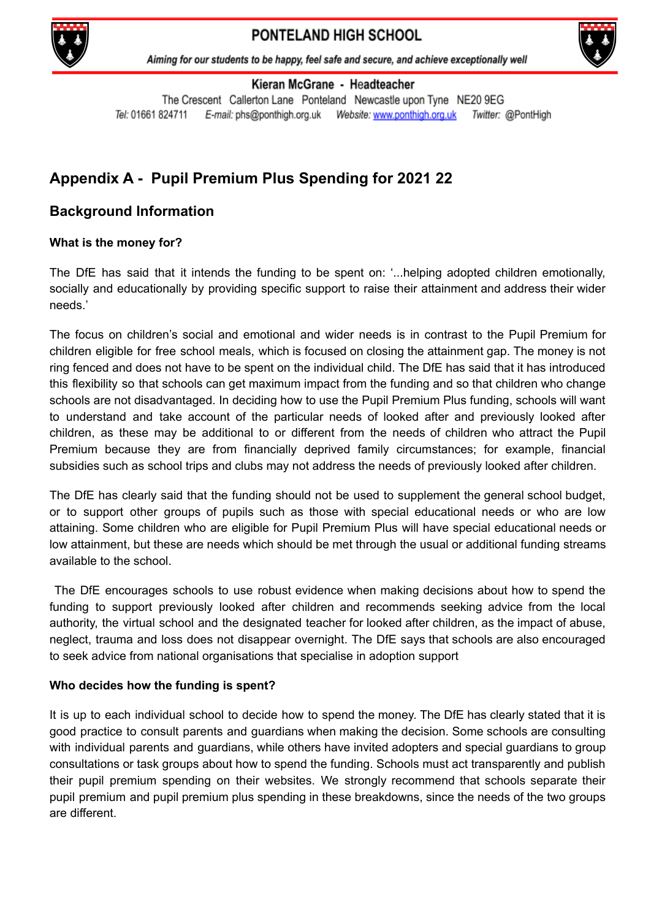



Aiming for our students to be happy, feel safe and secure, and achieve exceptionally well

Kieran McGrane - Headteacher

The Crescent Callerton Lane Ponteland Newcastle upon Tyne NE20 9EG Tel: 01661 824711 E-mail: phs@ponthigh.org.uk Website: www.ponthigh.org.uk Twitter: @PontHigh

## **Appendix A - Pupil Premium Plus Spending for 2021 22**

### **Background Information**

#### **What is the money for?**

The DfE has said that it intends the funding to be spent on: '...helping adopted children emotionally, socially and educationally by providing specific support to raise their attainment and address their wider needs.'

The focus on children's social and emotional and wider needs is in contrast to the Pupil Premium for children eligible for free school meals, which is focused on closing the attainment gap. The money is not ring fenced and does not have to be spent on the individual child. The DfE has said that it has introduced this flexibility so that schools can get maximum impact from the funding and so that children who change schools are not disadvantaged. In deciding how to use the Pupil Premium Plus funding, schools will want to understand and take account of the particular needs of looked after and previously looked after children, as these may be additional to or different from the needs of children who attract the Pupil Premium because they are from financially deprived family circumstances; for example, financial subsidies such as school trips and clubs may not address the needs of previously looked after children.

The DfE has clearly said that the funding should not be used to supplement the general school budget, or to support other groups of pupils such as those with special educational needs or who are low attaining. Some children who are eligible for Pupil Premium Plus will have special educational needs or low attainment, but these are needs which should be met through the usual or additional funding streams available to the school.

The DfE encourages schools to use robust evidence when making decisions about how to spend the funding to support previously looked after children and recommends seeking advice from the local authority, the virtual school and the designated teacher for looked after children, as the impact of abuse, neglect, trauma and loss does not disappear overnight. The DfE says that schools are also encouraged to seek advice from national organisations that specialise in adoption support

#### **Who decides how the funding is spent?**

It is up to each individual school to decide how to spend the money. The DfE has clearly stated that it is good practice to consult parents and guardians when making the decision. Some schools are consulting with individual parents and guardians, while others have invited adopters and special guardians to group consultations or task groups about how to spend the funding. Schools must act transparently and publish their pupil premium spending on their websites. We strongly recommend that schools separate their pupil premium and pupil premium plus spending in these breakdowns, since the needs of the two groups are different.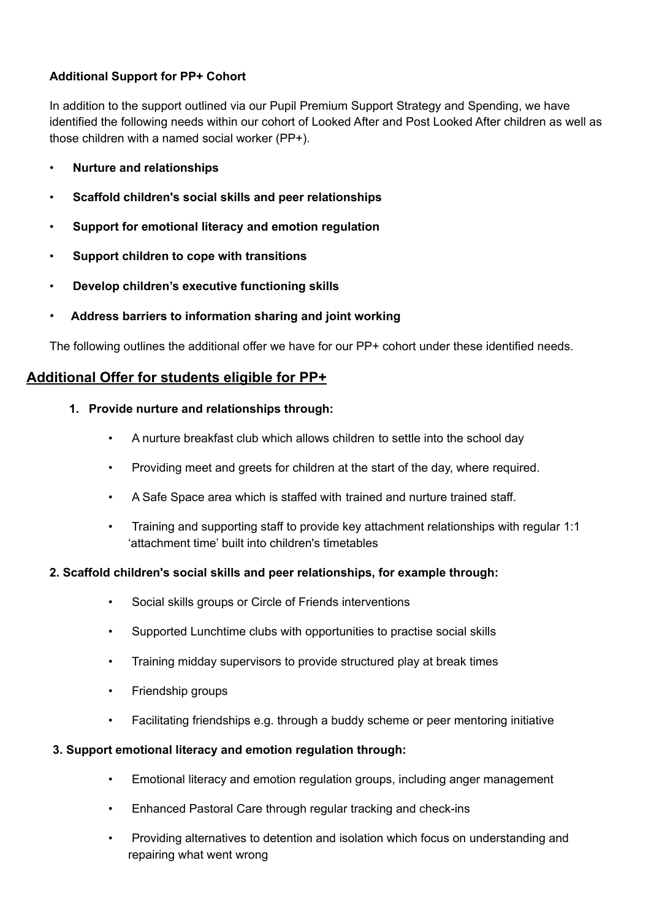#### **Additional Support for PP+ Cohort**

In addition to the support outlined via our Pupil Premium Support Strategy and Spending, we have identified the following needs within our cohort of Looked After and Post Looked After children as well as those children with a named social worker (PP+).

- **Nurture and relationships**
- **Scaffold children's social skills and peer relationships**
- **Support for emotional literacy and emotion regulation**
- **Support children to cope with transitions**
- **Develop children's executive functioning skills**
- **Address barriers to information sharing and joint working**

The following outlines the additional offer we have for our PP+ cohort under these identified needs.

#### **Additional Offer for students eligible for PP+**

- **1. Provide nurture and relationships through:**
	- A nurture breakfast club which allows children to settle into the school day
	- Providing meet and greets for children at the start of the day, where required.
	- A Safe Space area which is staffed with trained and nurture trained staff.
	- Training and supporting staff to provide key attachment relationships with regular 1:1 'attachment time' built into children's timetables

#### **2. Scaffold children's social skills and peer relationships, for example through:**

- Social skills groups or Circle of Friends interventions
- Supported Lunchtime clubs with opportunities to practise social skills
- Training midday supervisors to provide structured play at break times
- Friendship groups
- Facilitating friendships e.g. through a buddy scheme or peer mentoring initiative

#### **3. Support emotional literacy and emotion regulation through:**

- Emotional literacy and emotion regulation groups, including anger management
- Enhanced Pastoral Care through regular tracking and check-ins
- Providing alternatives to detention and isolation which focus on understanding and repairing what went wrong